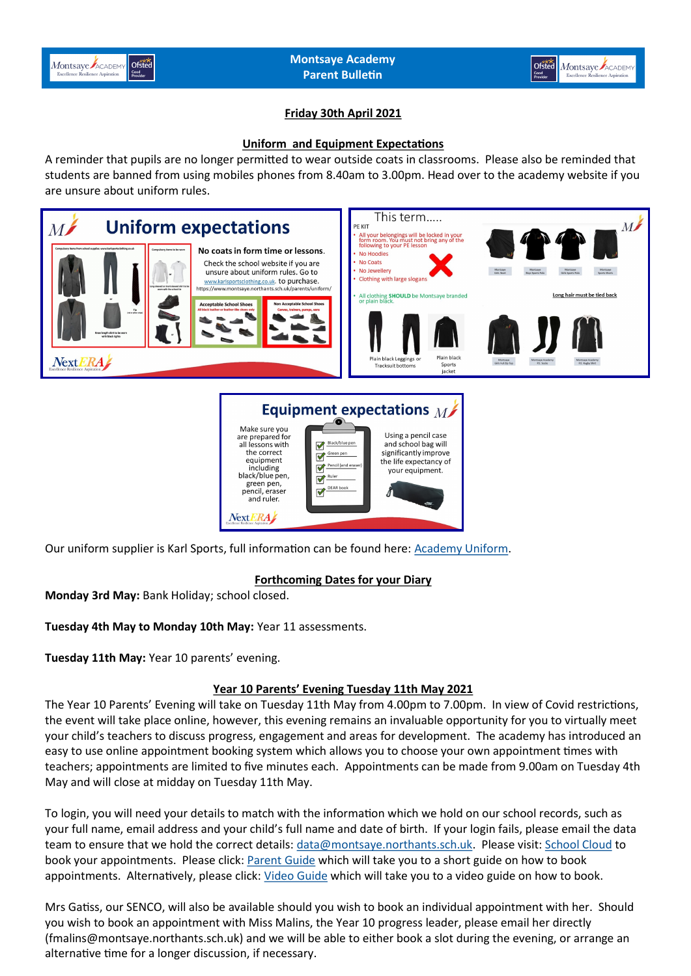



## **Friday 30th April 2021**

#### **Uniform and Equipment Expectations**

A reminder that pupils are no longer permitted to wear outside coats in classrooms. Please also be reminded that students are banned from using mobiles phones from 8.40am to 3.00pm. Head over to the academy website if you are unsure about uniform rules.



#### Equipment expectations  $_M$ Make sure you Using a pencil case are prepared for Black/blue pen all lessons with and school bag will significantly improve the correct Green per  $\triangledown$ equipment<br>including the life expectancy of Pencil (and eras  $\mathbb{R}$ your equipment black/blue pen Rule ⊻ green pen,<br>pencil, eraser DEAR book and ruler. Next ERA

Our uniform supplier is Karl Sports, full information can be found here: [Academy Uniform.](https://www.montsaye.northants.sch.uk/parents/uniform/) 

## **Forthcoming Dates for your Diary**

**Monday 3rd May:** Bank Holiday; school closed.

**Tuesday 4th May to Monday 10th May:** Year 11 assessments.

**Tuesday 11th May:** Year 10 parents' evening.

## **Year 10 Parents' Evening Tuesday 11th May 2021**

The Year 10 Parents' Evening will take on Tuesday 11th May from 4.00pm to 7.00pm. In view of Covid restrictions, the event will take place online, however, this evening remains an invaluable opportunity for you to virtually meet your child's teachers to discuss progress, engagement and areas for development. The academy has introduced an easy to use online appointment booking system which allows you to choose your own appointment times with teachers; appointments are limited to five minutes each. Appointments can be made from 9.00am on Tuesday 4th May and will close at midday on Tuesday 11th May.

To login, you will need your details to match with the information which we hold on our school records, such as your full name, email address and your child's full name and date of birth. If your login fails, please email the data team to ensure that we hold the correct details: [data@montsaye.northants.sch.uk.](mailto:data@montsaye.northants.sch.uk) Please visit: [School Cloud](https://montsaye.schoolcloud.co.uk/) to book your appointments. Please click: **Parent Guide** which will take you to a short guide on how to book appointments. Alternatively, please click: [Video Guide](https://support.parentseveningsystem.co.uk/article/801-video-parents-how-to-attend-appointments-over-video-call) which will take you to a video guide on how to book.

Mrs Gatiss, our SENCO, will also be available should you wish to book an individual appointment with her. Should you wish to book an appointment with Miss Malins, the Year 10 progress leader, please email her directly (fmalins@montsaye.northants.sch.uk) and we will be able to either book a slot during the evening, or arrange an alternative time for a longer discussion, if necessary.